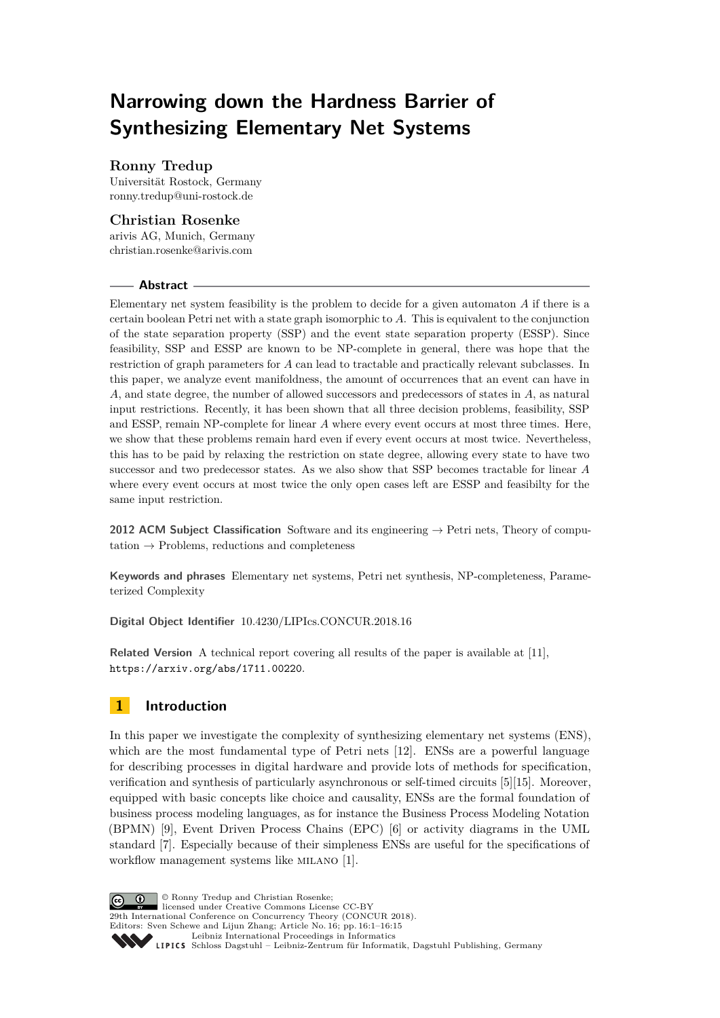# **Narrowing down the Hardness Barrier of Synthesizing Elementary Net Systems**

# **Ronny Tredup**

Universität Rostock, Germany [ronny.tredup@uni-rostock.de](mailto:ronny.tredup@uni-rostock.de)

# **Christian Rosenke**

arivis AG, Munich, Germany [christian.rosenke@arivis.com](mailto:christian.rosenke@arivis.com)

### **Abstract**

Elementary net system feasibility is the problem to decide for a given automaton *A* if there is a certain boolean Petri net with a state graph isomorphic to *A*. This is equivalent to the conjunction of the state separation property (SSP) and the event state separation property (ESSP). Since feasibility, SSP and ESSP are known to be NP-complete in general, there was hope that the restriction of graph parameters for *A* can lead to tractable and practically relevant subclasses. In this paper, we analyze event manifoldness, the amount of occurrences that an event can have in *A*, and state degree, the number of allowed successors and predecessors of states in *A*, as natural input restrictions. Recently, it has been shown that all three decision problems, feasibility, SSP and ESSP, remain NP-complete for linear *A* where every event occurs at most three times. Here, we show that these problems remain hard even if every event occurs at most twice. Nevertheless, this has to be paid by relaxing the restriction on state degree, allowing every state to have two successor and two predecessor states. As we also show that SSP becomes tractable for linear *A* where every event occurs at most twice the only open cases left are ESSP and feasibilty for the same input restriction.

**2012 ACM Subject Classification** Software and its engineering → Petri nets, Theory of computation  $\rightarrow$  Problems, reductions and completeness

**Keywords and phrases** Elementary net systems, Petri net synthesis, NP-completeness, Parameterized Complexity

**Digital Object Identifier** [10.4230/LIPIcs.CONCUR.2018.16](http://dx.doi.org/10.4230/LIPIcs.CONCUR.2018.16)

**Related Version** A technical report covering all results of the paper is available at [\[11\]](#page-14-0), <https://arxiv.org/abs/1711.00220>.

# **1 Introduction**

In this paper we investigate the complexity of synthesizing elementary net systems (ENS), which are the most fundamental type of Petri nets [\[12\]](#page-14-1). ENSs are a powerful language for describing processes in digital hardware and provide lots of methods for specification, verification and synthesis of particularly asynchronous or self-timed circuits [\[5\]](#page-14-2)[\[15\]](#page-14-3). Moreover, equipped with basic concepts like choice and causality, ENSs are the formal foundation of business process modeling languages, as for instance the Business Process Modeling Notation (BPMN) [\[9\]](#page-14-4), Event Driven Process Chains (EPC) [\[6\]](#page-14-5) or activity diagrams in the UML standard [\[7\]](#page-14-6). Especially because of their simpleness ENSs are useful for the specifications of workflow management systems like milano [\[1\]](#page-13-0).

© Ronny Tredup and Christian Rosenke;  $\boxed{6}$  0 licensed under Creative Commons License CC-BY 29th International Conference on Concurrency Theory (CONCUR 2018). Editors: Sven Schewe and Lijun Zhang; Article No. 16; pp. 16:1–16[:15](#page-14-7) [Leibniz International Proceedings in Informatics](http://www.dagstuhl.de/lipics/) [Schloss Dagstuhl – Leibniz-Zentrum für Informatik, Dagstuhl Publishing, Germany](http://www.dagstuhl.de)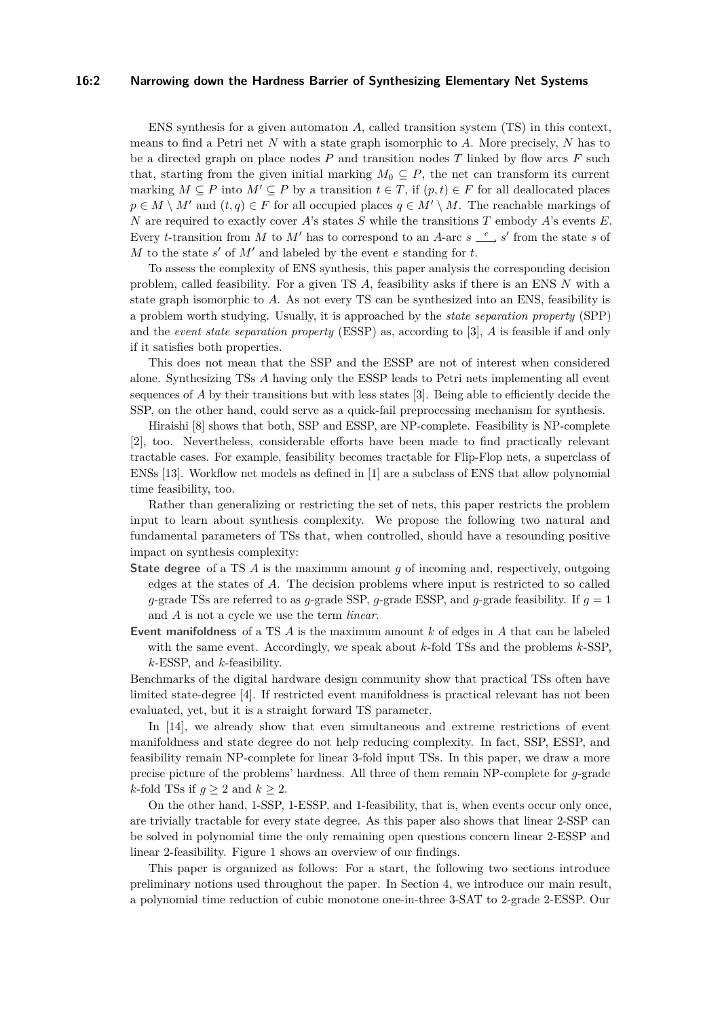#### **16:2 Narrowing down the Hardness Barrier of Synthesizing Elementary Net Systems**

ENS synthesis for a given automaton *A*, called transition system (TS) in this context, means to find a Petri net *N* with a state graph isomorphic to *A*. More precisely, *N* has to be a directed graph on place nodes  $P$  and transition nodes  $T$  linked by flow arcs  $F$  such that, starting from the given initial marking  $M_0 \subseteq P$ , the net can transform its current marking  $M \subseteq P$  into  $M' \subseteq P$  by a transition  $t \in T$ , if  $(p, t) \in F$  for all deallocated places  $p \in M \setminus M'$  and  $(t, q) \in F$  for all occupied places  $q \in M' \setminus M$ . The reachable markings of *N* are required to exactly cover *A*'s states *S* while the transitions *T* embody *A*'s events *E*. Every *t*-transition from *M* to *M'* has to correspond to an *A*-arc  $s \stackrel{e}{\longrightarrow} s'$  from the state *s* of  $M$  to the state  $s'$  of  $M'$  and labeled by the event  $e$  standing for  $t$ .

To assess the complexity of ENS synthesis, this paper analysis the corresponding decision problem, called feasibility. For a given TS *A*, feasibility asks if there is an ENS *N* with a state graph isomorphic to *A*. As not every TS can be synthesized into an ENS, feasibility is a problem worth studying. Usually, it is approached by the *state separation property* (SPP) and the *event state separation property* (ESSP) as, according to [\[3\]](#page-14-8), *A* is feasible if and only if it satisfies both properties.

This does not mean that the SSP and the ESSP are not of interest when considered alone. Synthesizing TSs *A* having only the ESSP leads to Petri nets implementing all event sequences of *A* by their transitions but with less states [\[3\]](#page-14-8). Being able to efficiently decide the SSP, on the other hand, could serve as a quick-fail preprocessing mechanism for synthesis.

Hiraishi [\[8\]](#page-14-9) shows that both, SSP and ESSP, are NP-complete. Feasibility is NP-complete [\[2\]](#page-14-10), too. Nevertheless, considerable efforts have been made to find practically relevant tractable cases. For example, feasibility becomes tractable for Flip-Flop nets, a superclass of ENSs [\[13\]](#page-14-11). Workflow net models as defined in [\[1\]](#page-13-0) are a subclass of ENS that allow polynomial time feasibility, too.

Rather than generalizing or restricting the set of nets, this paper restricts the problem input to learn about synthesis complexity. We propose the following two natural and fundamental parameters of TSs that, when controlled, should have a resounding positive impact on synthesis complexity:

- **State degree** of a TS *A* is the maximum amount *g* of incoming and, respectively, outgoing edges at the states of *A*. The decision problems where input is restricted to so called *g*-grade TSs are referred to as *g*-grade SSP, *g*-grade ESSP, and *g*-grade feasibility. If  $g = 1$ and *A* is not a cycle we use the term *linear*.
- **Event manifoldness** of a TS *A* is the maximum amount *k* of edges in *A* that can be labeled with the same event. Accordingly, we speak about *k*-fold TSs and the problems *k*-SSP, *k*-ESSP, and *k*-feasibility.

Benchmarks of the digital hardware design community show that practical TSs often have limited state-degree [\[4\]](#page-14-12). If restricted event manifoldness is practical relevant has not been evaluated, yet, but it is a straight forward TS parameter.

In [\[14\]](#page-14-13), we already show that even simultaneous and extreme restrictions of event manifoldness and state degree do not help reducing complexity. In fact, SSP, ESSP, and feasibility remain NP-complete for linear 3-fold input TSs. In this paper, we draw a more precise picture of the problems' hardness. All three of them remain NP-complete for *g*-grade *k*-fold TSs if  $q \ge 2$  and  $k \ge 2$ .

On the other hand, 1-SSP, 1-ESSP, and 1-feasibility, that is, when events occur only once, are trivially tractable for every state degree. As this paper also shows that linear 2-SSP can be solved in polynomial time the only remaining open questions concern linear 2-ESSP and linear 2-feasibility. Figure [1](#page-2-0) shows an overview of our findings.

This paper is organized as follows: For a start, the following two sections introduce preliminary notions used throughout the paper. In Section [4,](#page-4-0) we introduce our main result, a polynomial time reduction of cubic monotone one-in-three 3-SAT to 2-grade 2-ESSP. Our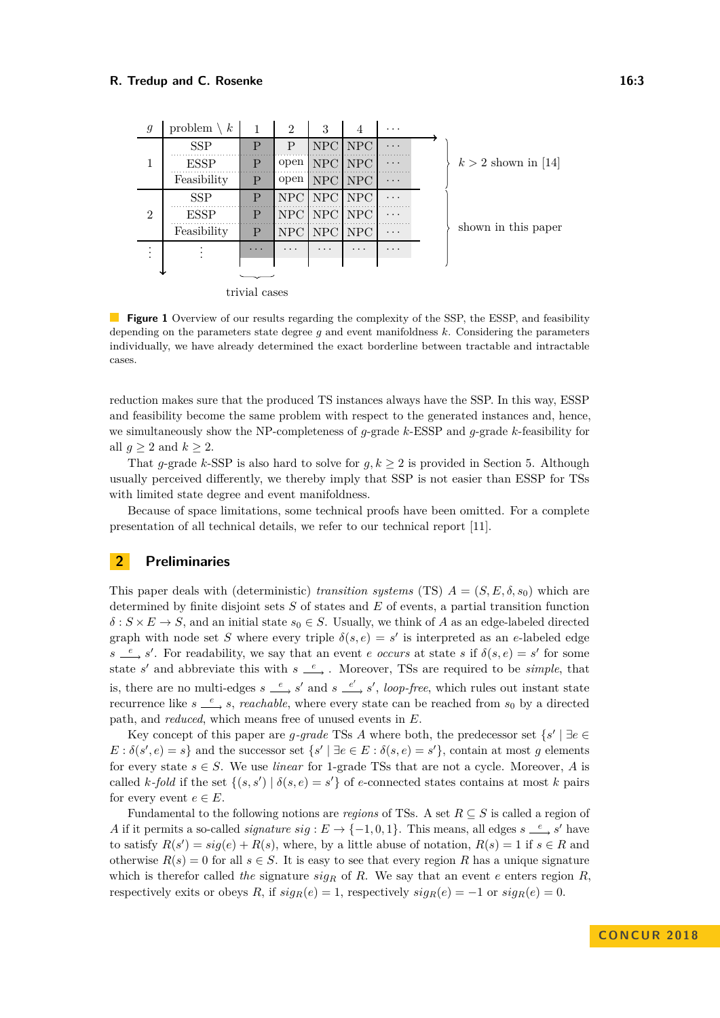<span id="page-2-0"></span>

| $\mathfrak{g}$ | problem<br>$\boldsymbol{k}$ | 1                       | $\overline{2}$ | 3          | 4                       | .        |  |                       |  |
|----------------|-----------------------------|-------------------------|----------------|------------|-------------------------|----------|--|-----------------------|--|
| 1              | <b>SSP</b>                  | P                       | P              | NPC        | <b>NPC</b>              | .        |  |                       |  |
|                | <b>ESSP</b>                 | $\mathbf{P}$            | open           | <b>NPC</b> | <b>NPC</b>              | .        |  | $k > 2$ shown in [14] |  |
|                | Feasibility                 | P                       | open           | NPC        | <b>NPC</b>              | $\cdots$ |  |                       |  |
| $\overline{2}$ | <b>SSP</b>                  | P                       | NPC            | NPC        | <b>NPC</b>              | .        |  |                       |  |
|                | <b>ESSP</b>                 | P                       | NPC            | NPC        | <b>NPC</b>              | .        |  |                       |  |
|                | Feasibility                 | P                       | NPC            | <b>NPC</b> | <b>NPC</b>              | $\cdots$ |  | shown in this paper   |  |
| ٠              |                             | $\cdot$ $\cdot$ $\cdot$ | .              | .          | $\cdot$ $\cdot$ $\cdot$ | .        |  |                       |  |
| ₩              |                             |                         |                |            |                         |          |  |                       |  |
|                |                             |                         |                |            |                         |          |  |                       |  |
| trivial cases  |                             |                         |                |            |                         |          |  |                       |  |

**Figure 1** Overview of our results regarding the complexity of the SSP, the ESSP, and feasibility depending on the parameters state degree *g* and event manifoldness *k*. Considering the parameters individually, we have already determined the exact borderline between tractable and intractable cases.

reduction makes sure that the produced TS instances always have the SSP. In this way, ESSP and feasibility become the same problem with respect to the generated instances and, hence, we simultaneously show the NP-completeness of *g*-grade *k*-ESSP and *g*-grade *k*-feasibility for all  $q > 2$  and  $k > 2$ .

That *g*-grade *k*-SSP is also hard to solve for  $q, k > 2$  is provided in Section [5.](#page-11-0) Although usually perceived differently, we thereby imply that SSP is not easier than ESSP for TSs with limited state degree and event manifoldness.

Because of space limitations, some technical proofs have been omitted. For a complete presentation of all technical details, we refer to our technical report [\[11\]](#page-14-0).

# **2 Preliminaries**

This paper deals with (deterministic) *transition systems* (TS)  $A = (S, E, \delta, s_0)$  which are determined by finite disjoint sets *S* of states and *E* of events, a partial transition function  $\delta$  :  $S \times E \to S$ , and an initial state  $s_0 \in S$ . Usually, we think of *A* as an edge-labeled directed graph with node set *S* where every triple  $\delta(s, e) = s'$  is interpreted as an *e*-labeled edge  $s \stackrel{e}{\longrightarrow} s'$ . For readability, we say that an event *e occurs* at state *s* if  $\delta(s, e) = s'$  for some state s' and abbreviate this with  $s \stackrel{e}{\longrightarrow}$ . Moreover, TSs are required to be *simple*, that is, there are no multi-edges  $s \stackrel{e}{\longrightarrow} s'$  and  $s \stackrel{e'}{\longrightarrow} s'$ , *loop-free*, which rules out instant state recurrence like  $s \stackrel{e}{\longrightarrow} s$ , *reachable*, where every state can be reached from  $s_0$  by a directed path, and *reduced*, which means free of unused events in *E*.

Key concept of this paper are *g*-grade TSs *A* where both, the predecessor set  $\{s' \mid \exists e \in \mathbb{R}\}$  $E: \delta(s', e) = s$  and the successor set  $\{s' \mid \exists e \in E: \delta(s, e) = s'\}$ , contain at most *g* elements for every state  $s \in S$ . We use *linear* for 1-grade TSs that are not a cycle. Moreover, A is called *k*-fold if the set  $\{(s, s') | \delta(s, e) = s'\}$  of *e*-connected states contains at most *k* pairs for every event  $e \in E$ .

Fundamental to the following notions are *regions* of TSs. A set *R* ⊆ *S* is called a region of *A* if it permits a so-called *signature*  $sig : E \to \{-1, 0, 1\}$ . This means, all edges  $s \stackrel{e}{\longrightarrow} s'$  have to satisfy  $R(s') = sig(e) + R(s)$ , where, by a little abuse of notation,  $R(s) = 1$  if  $s \in R$  and otherwise  $R(s) = 0$  for all  $s \in S$ . It is easy to see that every region R has a unique signature which is therefor called *the* signature  $sig_R$  of *R*. We say that an event *e* enters region *R*, respectively exits or obeys R, if  $sig_R(e) = 1$ , respectively  $sig_R(e) = -1$  or  $sig_R(e) = 0$ .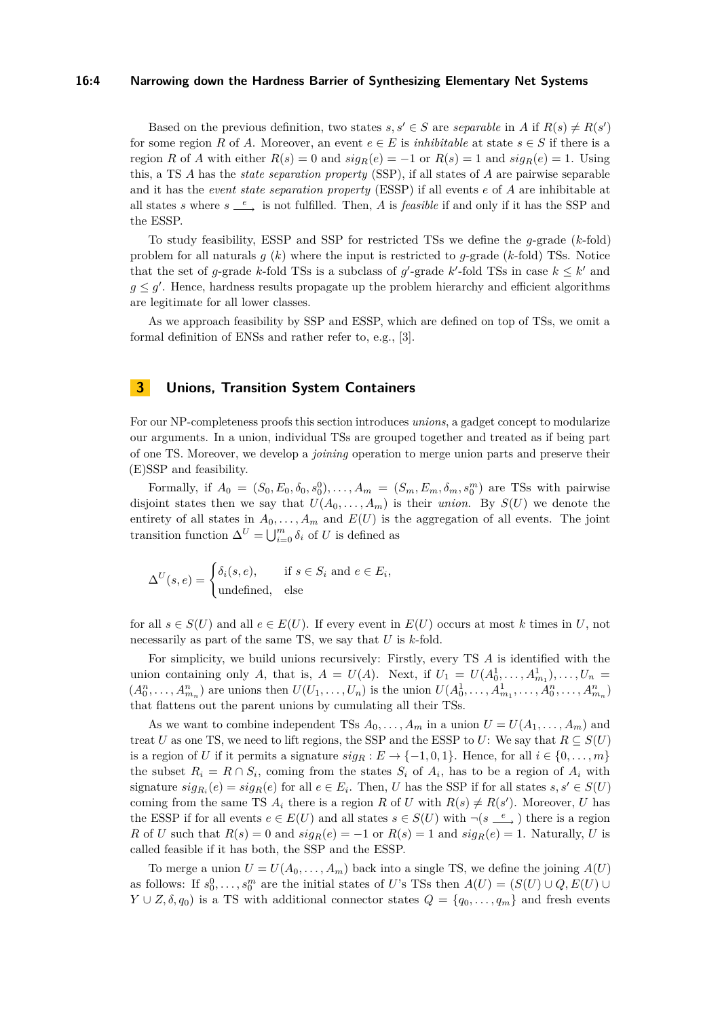#### **16:4 Narrowing down the Hardness Barrier of Synthesizing Elementary Net Systems**

Based on the previous definition, two states  $s, s' \in S$  are *separable* in *A* if  $R(s) \neq R(s')$ for some region *R* of *A*. Moreover, an event  $e \in E$  is *inhibitable* at state  $s \in S$  if there is a region *R* of *A* with either  $R(s) = 0$  and  $sig_R(e) = -1$  or  $R(s) = 1$  and  $sig_R(e) = 1$ . Using this, a TS *A* has the *state separation property* (SSP), if all states of *A* are pairwise separable and it has the *event state separation property* (ESSP) if all events *e* of *A* are inhibitable at all states *s* where  $s \stackrel{e}{\longrightarrow}$  is not fulfilled. Then, *A* is *feasible* if and only if it has the SSP and the ESSP.

To study feasibility, ESSP and SSP for restricted TSs we define the *g*-grade (*k*-fold) problem for all naturals *g* (*k*) where the input is restricted to *g*-grade (*k*-fold) TSs. Notice that the set of *g*-grade *k*-fold TSs is a subclass of *g*'-grade *k*'-fold TSs in case  $k \leq k'$  and  $g \leq g'$ . Hence, hardness results propagate up the problem hierarchy and efficient algorithms are legitimate for all lower classes.

As we approach feasibility by SSP and ESSP, which are defined on top of TSs, we omit a formal definition of ENSs and rather refer to, e.g., [\[3\]](#page-14-8).

#### **3 Unions, Transition System Containers**

For our NP-completeness proofs this section introduces *unions*, a gadget concept to modularize our arguments. In a union, individual TSs are grouped together and treated as if being part of one TS. Moreover, we develop a *joining* operation to merge union parts and preserve their (E)SSP and feasibility.

Formally, if  $A_0 = (S_0, E_0, \delta_0, s_0^0), \ldots, A_m = (S_m, E_m, \delta_m, s_0^m)$  are TSs with pairwise disjoint states then we say that  $U(A_0, \ldots, A_m)$  is their *union*. By  $S(U)$  we denote the entirety of all states in  $A_0, \ldots, A_m$  and  $E(U)$  is the aggregation of all events. The joint transition function  $\Delta^U = \bigcup_{i=0}^m \delta_i$  of *U* is defined as

$$
\Delta^U(s, e) = \begin{cases} \delta_i(s, e), & \text{if } s \in S_i \text{ and } e \in E_i, \\ \text{undefined}, & \text{else} \end{cases}
$$

for all  $s \in S(U)$  and all  $e \in E(U)$ . If every event in  $E(U)$  occurs at most k times in U, not necessarily as part of the same TS, we say that *U* is *k*-fold.

For simplicity, we build unions recursively: Firstly, every TS *A* is identified with the union containing only *A*, that is,  $A = U(A)$ . Next, if  $U_1 = U(A_0^1, \ldots, A_{m_1}^1), \ldots, U_n =$  $(A_0^n, \ldots, A_{m_n}^n)$  are unions then  $U(U_1, \ldots, U_n)$  is the union  $U(A_0^1, \ldots, A_{m_1}^1, \ldots, A_0^n, \ldots, A_{m_n}^n)$ that flattens out the parent unions by cumulating all their TSs.

As we want to combine independent TSs  $A_0, \ldots, A_m$  in a union  $U = U(A_1, \ldots, A_m)$  and treat *U* as one TS, we need to lift regions, the SSP and the ESSP to *U*: We say that  $R \subseteq S(U)$ is a region of *U* if it permits a signature  $sig_R : E \to \{-1, 0, 1\}$ . Hence, for all  $i \in \{0, ..., m\}$ the subset  $R_i = R \cap S_i$ , coming from the states  $S_i$  of  $A_i$ , has to be a region of  $A_i$  with signature  $sig_{R_i}(e) = sig_R(e)$  for all  $e \in E_i$ . Then, *U* has the SSP if for all states  $s, s' \in S(U)$ coming from the same TS  $A_i$  there is a region  $R$  of  $U$  with  $R(s) \neq R(s')$ . Moreover,  $U$  has the ESSP if for all events  $e \in E(U)$  and all states  $s \in S(U)$  with  $\neg(s \stackrel{e}{\longrightarrow})$  there is a region *R* of *U* such that  $R(s) = 0$  and  $sig_R(e) = -1$  or  $R(s) = 1$  and  $sig_R(e) = 1$ . Naturally, *U* is called feasible if it has both, the SSP and the ESSP.

To merge a union  $U = U(A_0, \ldots, A_m)$  back into a single TS, we define the joining  $A(U)$ as follows: If  $s_0^0, \ldots, s_0^m$  are the initial states of *U*'s TSs then  $A(U) = (S(U) \cup Q, E(U) \cup$ *Y* ∪ *Z*,  $\delta$ ,  $q_0$ ) is a TS with additional connector states  $Q = \{q_0, \ldots, q_m\}$  and fresh events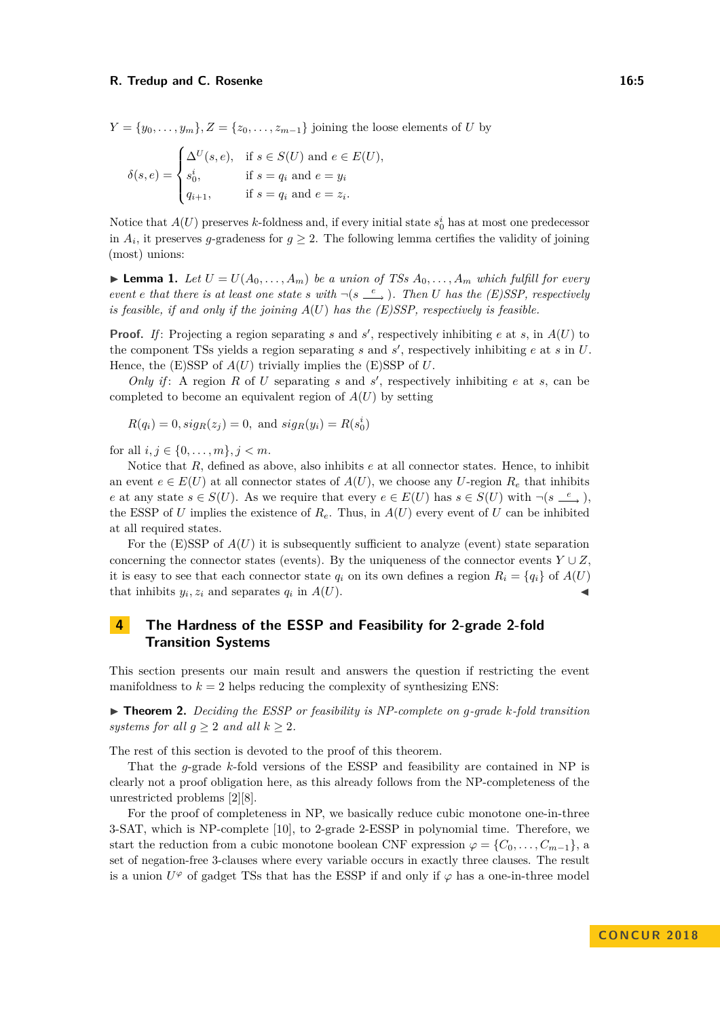$$
Y = \{y_0, \dots, y_m\}, Z = \{z_0, \dots, z_{m-1}\}\
$$
 joining the loose elements of  $U$  by  

$$
\delta(s, e) = \begin{cases} \Delta^U(s, e), & \text{if } s \in S(U) \text{ and } e \in E(U), \\ s_0^i, & \text{if } s = q_i \text{ and } e = y_i \\ q_{i+1}, & \text{if } s = q_i \text{ and } e = z_i. \end{cases}
$$

Notice that  $A(U)$  preserves *k*-foldness and, if every initial state  $s_0^i$  has at most one predecessor in  $A_i$ , it preserves *g*-gradeness for  $g \geq 2$ . The following lemma certifies the validity of joining (most) unions:

<span id="page-4-1"></span>**Lemma 1.** Let  $U = U(A_0, \ldots, A_m)$  be a union of TSs  $A_0, \ldots, A_m$  which fulfill for every *event e that there is at least one state s with*  $\neg (s \stackrel{e}{\longrightarrow})$ *. Then U has the* (*E)SSP*, *respectively is feasible, if and only if the joining A*(*U*) *has the (E)SSP, respectively is feasible.*

**Proof.** If: Projecting a region separating *s* and *s*<sup>'</sup>, respectively inhibiting *e* at *s*, in  $A(U)$  to the component TSs yields a region separating  $s$  and  $s'$ , respectively inhibiting  $e$  at  $s$  in  $U$ . Hence, the (E)SSP of *A*(*U*) trivially implies the (E)SSP of *U*.

*Only if*: A region  $R$  of  $U$  separating  $s$  and  $s'$ , respectively inhibiting  $e$  at  $s$ , can be completed to become an equivalent region of  $A(U)$  by setting

$$
R(q_i) = 0, sig_R(z_j) = 0, \text{ and } sig_R(y_i) = R(s_0^i)
$$

for all  $i, j \in \{0, \ldots, m\}, j < m$ .

Notice that *R*, defined as above, also inhibits *e* at all connector states. Hence, to inhibit an event  $e \in E(U)$  at all connector states of  $A(U)$ , we choose any *U*-region  $R_e$  that inhibits *e* at any state  $s \in S(U)$ . As we require that every  $e \in E(U)$  has  $s \in S(U)$  with  $\neg(s \stackrel{e}{\longrightarrow})$ , the ESSP of *U* implies the existence of  $R_e$ . Thus, in  $A(U)$  every event of *U* can be inhibited at all required states.

For the  $(E)$ SSP of  $A(U)$  it is subsequently sufficient to analyze (event) state separation concerning the connector states (events). By the uniqueness of the connector events  $Y \cup Z$ , it is easy to see that each connector state  $q_i$  on its own defines a region  $R_i = \{q_i\}$  of  $A(U)$ that inhibits  $y_i, z_i$  and separates  $q_i$  in  $A(U)$ .

# <span id="page-4-0"></span>**4 The Hardness of the ESSP and Feasibility for 2-grade 2-fold Transition Systems**

This section presents our main result and answers the question if restricting the event manifoldness to  $k = 2$  helps reducing the complexity of synthesizing ENS:

<span id="page-4-2"></span>I **Theorem 2.** *Deciding the ESSP or feasibility is NP-complete on g-grade k-fold transition systems for all*  $g \geq 2$  *and all*  $k \geq 2$ *.* 

The rest of this section is devoted to the proof of this theorem.

That the *g*-grade *k*-fold versions of the ESSP and feasibility are contained in NP is clearly not a proof obligation here, as this already follows from the NP-completeness of the unrestricted problems [\[2\]](#page-14-10)[\[8\]](#page-14-9).

For the proof of completeness in NP, we basically reduce cubic monotone one-in-three 3-SAT, which is NP-complete [\[10\]](#page-14-14), to 2-grade 2-ESSP in polynomial time. Therefore, we start the reduction from a cubic monotone boolean CNF expression  $\varphi = \{C_0, \ldots, C_{m-1}\}\,$ , a set of negation-free 3-clauses where every variable occurs in exactly three clauses. The result is a union  $U^{\varphi}$  of gadget TSs that has the ESSP if and only if  $\varphi$  has a one-in-three model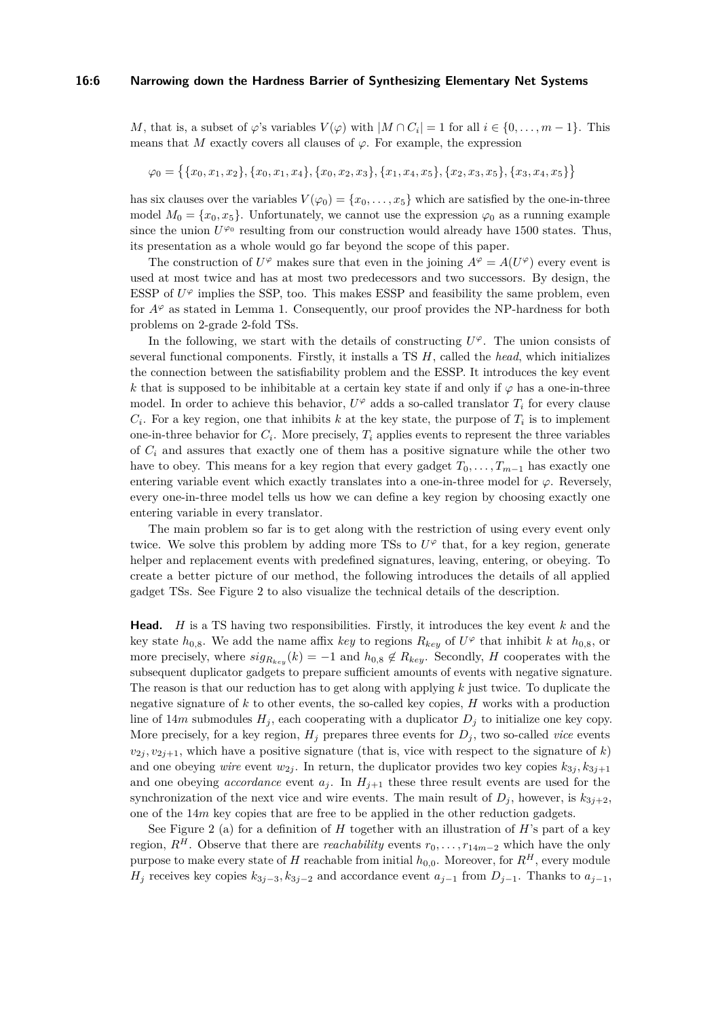*M*, that is, a subset of  $\varphi$ 's variables  $V(\varphi)$  with  $|M \cap C_i| = 1$  for all  $i \in \{0, ..., m-1\}$ . This means that *M* exactly covers all clauses of  $\varphi$ . For example, the expression

$$
\varphi_0 = \big\{ \{x_0, x_1, x_2\}, \{x_0, x_1, x_4\}, \{x_0, x_2, x_3\}, \{x_1, x_4, x_5\}, \{x_2, x_3, x_5\}, \{x_3, x_4, x_5\} \big\}
$$

has six clauses over the variables  $V(\varphi_0) = \{x_0, \ldots, x_5\}$  which are satisfied by the one-in-three model  $M_0 = \{x_0, x_5\}$ . Unfortunately, we cannot use the expression  $\varphi_0$  as a running example since the union  $U^{\varphi_0}$  resulting from our construction would already have 1500 states. Thus, its presentation as a whole would go far beyond the scope of this paper.

The construction of  $U^{\varphi}$  makes sure that even in the joining  $A^{\varphi} = A(U^{\varphi})$  every event is used at most twice and has at most two predecessors and two successors. By design, the ESSP of  $U^{\varphi}$  implies the SSP, too. This makes ESSP and feasibility the same problem, even for  $A^{\varphi}$  as stated in Lemma [1.](#page-4-1) Consequently, our proof provides the NP-hardness for both problems on 2-grade 2-fold TSs.

In the following, we start with the details of constructing  $U^{\varphi}$ . The union consists of several functional components. Firstly, it installs a TS *H*, called the *head*, which initializes the connection between the satisfiability problem and the ESSP. It introduces the key event *k* that is supposed to be inhibitable at a certain key state if and only if  $\varphi$  has a one-in-three model. In order to achieve this behavior,  $U^{\varphi}$  adds a so-called translator  $T_i$  for every clause  $C_i$ . For a key region, one that inhibits *k* at the key state, the purpose of  $T_i$  is to implement one-in-three behavior for  $C_i$ . More precisely,  $T_i$  applies events to represent the three variables of *C<sup>i</sup>* and assures that exactly one of them has a positive signature while the other two have to obey. This means for a key region that every gadget  $T_0, \ldots, T_{m-1}$  has exactly one entering variable event which exactly translates into a one-in-three model for  $\varphi$ . Reversely, every one-in-three model tells us how we can define a key region by choosing exactly one entering variable in every translator.

The main problem so far is to get along with the restriction of using every event only twice. We solve this problem by adding more TSs to  $U^{\varphi}$  that, for a key region, generate helper and replacement events with predefined signatures, leaving, entering, or obeying. To create a better picture of our method, the following introduces the details of all applied gadget TSs. See Figure [2](#page-7-0) to also visualize the technical details of the description.

**Head.** *H* is a TS having two responsibilities. Firstly, it introduces the key event *k* and the key state  $h_{0,8}$ . We add the name affix *key* to regions  $R_{key}$  of  $U^{\varphi}$  that inhibit *k* at  $h_{0,8}$ , or more precisely, where  $sig_{R_{key}}(k) = -1$  and  $h_{0,8} \notin R_{key}$ . Secondly, *H* cooperates with the subsequent duplicator gadgets to prepare sufficient amounts of events with negative signature. The reason is that our reduction has to get along with applying *k* just twice. To duplicate the negative signature of *k* to other events, the so-called key copies, *H* works with a production line of 14*m* submodules  $H_j$ , each cooperating with a duplicator  $D_j$  to initialize one key copy. More precisely, for a key region,  $H_j$  prepares three events for  $D_j$ , two so-called *vice* events  $v_{2i}, v_{2i+1}$ , which have a positive signature (that is, vice with respect to the signature of *k*) and one obeying *wire* event  $w_{2j}$ . In return, the duplicator provides two key copies  $k_{3j}$ ,  $k_{3j+1}$ and one obeying *accordance* event  $a_j$ . In  $H_{j+1}$  these three result events are used for the synchronization of the next vice and wire events. The main result of  $D_j$ , however, is  $k_{3j+2}$ , one of the 14*m* key copies that are free to be applied in the other reduction gadgets.

See Figure [2](#page-7-0) (a) for a definition of *H* together with an illustration of *H*'s part of a key region,  $R^H$ . Observe that there are *reachability* events  $r_0, \ldots, r_{14m-2}$  which have the only purpose to make every state of *H* reachable from initial  $h_{0,0}$ . Moreover, for  $R^H$ , every module *H*<sup>j</sup> receives key copies  $k_{3j-3}$ ,  $k_{3j-2}$  and accordance event  $a_{j-1}$  from  $D_{j-1}$ . Thanks to  $a_{j-1}$ ,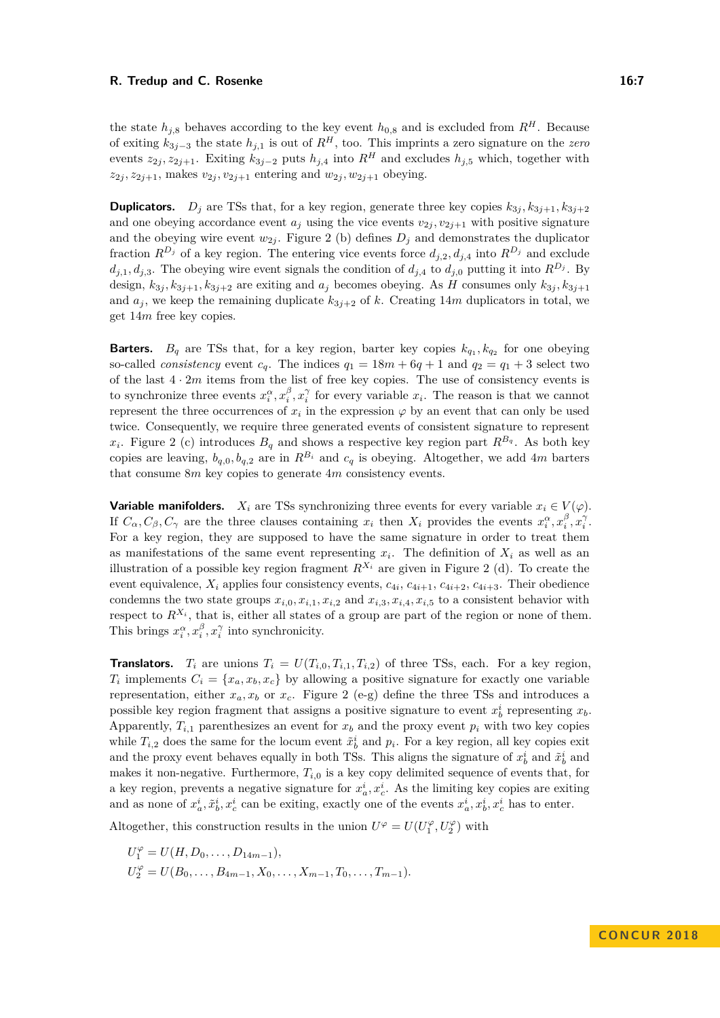the state  $h_{i,8}$  behaves according to the key event  $h_{0,8}$  and is excluded from  $R^H$ . Because of exiting  $k_{3j-3}$  the state  $h_{j,1}$  is out of  $R^H$ , too. This imprints a zero signature on the *zero* events  $z_{2j}$ ,  $z_{2j+1}$ . Exiting  $k_{3j-2}$  puts  $h_{j,4}$  into  $R^H$  and excludes  $h_{j,5}$  which, together with  $z_{2j}$ ,  $z_{2j+1}$ , makes  $v_{2j}$ ,  $v_{2j+1}$  entering and  $w_{2j}$ ,  $w_{2j+1}$  obeying.

**Duplicators.**  $D_j$  are TSs that, for a key region, generate three key copies  $k_{3j}$ ,  $k_{3j+1}$ ,  $k_{3j+2}$ and one obeying accordance event  $a_j$  using the vice events  $v_{2j}, v_{2j+1}$  with positive signature and the obeying wire event  $w_{2j}$ . Figure [2](#page-7-0) (b) defines  $D_j$  and demonstrates the duplicator fraction  $R^{D_j}$  of a key region. The entering vice events force  $d_{j,2}, d_{j,4}$  into  $R^{D_j}$  and exclude  $d_{j,1}, d_{j,3}$ . The obeying wire event signals the condition of  $d_{j,4}$  to  $d_{j,0}$  putting it into  $R^{D_j}$ . By design,  $k_{3j}$ ,  $k_{3j+1}$ ,  $k_{3j+2}$  are exiting and  $a_j$  becomes obeying. As *H* consumes only  $k_{3j}$ ,  $k_{3j+1}$ and  $a_j$ , we keep the remaining duplicate  $k_{3j+2}$  of k. Creating 14m duplicators in total, we get 14*m* free key copies.

**Barters.**  $B_q$  are TSs that, for a key region, barter key copies  $k_{q_1}, k_{q_2}$  for one obeying so-called *consistency* event  $c_q$ . The indices  $q_1 = 18m + 6q + 1$  and  $q_2 = q_1 + 3$  select two of the last 4 · 2*m* items from the list of free key copies. The use of consistency events is to synchronize three events  $x_i^{\alpha}, x_i^{\beta}, x_i^{\gamma}$  for every variable  $x_i$ . The reason is that we cannot represent the three occurrences of  $x_i$  in the expression  $\varphi$  by an event that can only be used twice. Consequently, we require three generated events of consistent signature to represent  $x_i$ . Figure [2](#page-7-0) (c) introduces  $B_q$  and shows a respective key region part  $R^{B_q}$ . As both key copies are leaving,  $b_{q,0}, b_{q,2}$  are in  $R^{B_i}$  and  $c_q$  is obeying. Altogether, we add 4*m* barters that consume 8*m* key copies to generate 4*m* consistency events.

**Variable manifolders.**  $X_i$  are TSs synchronizing three events for every variable  $x_i \in V(\varphi)$ . If  $C_{\alpha}, C_{\beta}, C_{\gamma}$  are the three clauses containing  $x_i$  then  $X_i$  provides the events  $x_i^{\alpha}, x_i^{\beta}, x_i^{\gamma}$ . For a key region, they are supposed to have the same signature in order to treat them as manifestations of the same event representing  $x_i$ . The definition of  $X_i$  as well as an illustration of a possible key region fragment  $R^{X_i}$  are given in Figure [2](#page-7-0) (d). To create the event equivalence,  $X_i$  applies four consistency events,  $c_{4i}$ ,  $c_{4i+1}$ ,  $c_{4i+2}$ ,  $c_{4i+3}$ . Their obedience condemns the two state groups  $x_{i,0}, x_{i,1}, x_{i,2}$  and  $x_{i,3}, x_{i,4}, x_{i,5}$  to a consistent behavior with respect to  $R^{X_i}$ , that is, either all states of a group are part of the region or none of them. This brings  $x_i^{\alpha}, x_i^{\beta}, x_i^{\gamma}$  into synchronicity.

**Translators.**  $T_i$  are unions  $T_i = U(T_{i,0}, T_{i,1}, T_{i,2})$  of three TSs, each. For a key region,  $T_i$  implements  $C_i = \{x_a, x_b, x_c\}$  by allowing a positive signature for exactly one variable representation, either  $x_a, x_b$  or  $x_c$ . Figure [2](#page-7-0) (e-g) define the three TSs and introduces a possible key region fragment that assigns a positive signature to event  $x_b^i$  representing  $x_b$ . Apparently,  $T_{i,1}$  parenthesizes an event for  $x_b$  and the proxy event  $p_i$  with two key copies while  $T_{i,2}$  does the same for the locum event  $\tilde{x}_b^i$  and  $p_i$ . For a key region, all key copies exit and the proxy event behaves equally in both TSs. This aligns the signature of  $x_b^i$  and  $\tilde{x}_b^i$  and makes it non-negative. Furthermore, *Ti,*<sup>0</sup> is a key copy delimited sequence of events that, for a key region, prevents a negative signature for  $x_a^i, x_c^i$ . As the limiting key copies are exiting and as none of  $x_a^i, \tilde{x}_b^i, x_c^i$  can be exiting, exactly one of the events  $x_a^i, x_b^i, x_c^i$  has to enter.

Altogether, this construction results in the union  $U^{\varphi} = U(U_1^{\varphi}, U_2^{\varphi})$  with

$$
U_1^{\varphi} = U(H, D_0, \dots, D_{14m-1}),
$$
  
\n
$$
U_2^{\varphi} = U(B_0, \dots, B_{4m-1}, X_0, \dots, X_{m-1}, T_0, \dots, T_{m-1}).
$$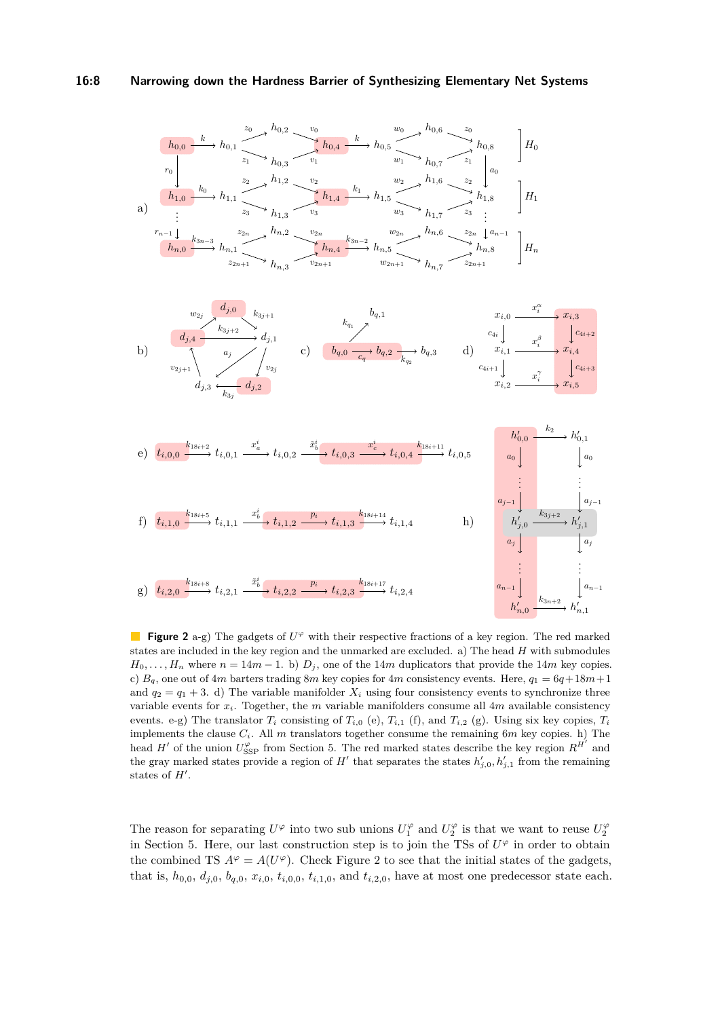#### **16:8 Narrowing down the Hardness Barrier of Synthesizing Elementary Net Systems**

<span id="page-7-0"></span>



**Figure 2** a-g) The gadgets of  $U^{\varphi}$  with their respective fractions of a key region. The red marked states are included in the key region and the unmarked are excluded. a) The head *H* with submodules  $H_0, \ldots, H_n$  where  $n = 14m - 1$ . b)  $D_j$ , one of the 14*m* duplicators that provide the 14*m* key copies. c)  $B_q$ , one out of  $4m$  barters trading  $8m$  key copies for  $4m$  consistency events. Here,  $q_1 = 6q + 18m + 1$ and  $q_2 = q_1 + 3$ . d) The variable manifolder  $X_i$  using four consistency events to synchronize three variable events for  $x_i$ . Together, the  $m$  variable manifolders consume all  $4m$  available consistency events. e-g) The translator  $T_i$  consisting of  $T_{i,0}$  (e),  $T_{i,1}$  (f), and  $T_{i,2}$  (g). Using six key copies,  $T_i$ implements the clause *Ci*. All *m* translators together consume the remaining 6*m* key copies. h) The head *H*<sup> $\prime$ </sup> of the union  $U_{\text{SSP}}^{\varphi}$  from Section [5.](#page-11-0) The red marked states describe the key region  $R^{H'}$  and the gray marked states provide a region of  $H'$  that separates the states  $h'_{j,0}, h'_{j,1}$  from the remaining states of  $H'$ .

The reason for separating  $U^{\varphi}$  into two sub unions  $U_1^{\varphi}$  and  $U_2^{\varphi}$  is that we want to reuse  $U_2^{\varphi}$ in Section [5.](#page-11-0) Here, our last construction step is to join the TSs of  $U^{\varphi}$  in order to obtain the combined TS  $A^{\varphi} = A(U^{\varphi})$ . Check Figure [2](#page-7-0) to see that the initial states of the gadgets, that is,  $h_{0,0}, d_{j,0}, b_{q,0}, x_{i,0}, t_{i,0,0}, t_{i,1,0}$ , and  $t_{i,2,0}$ , have at most one predecessor state each.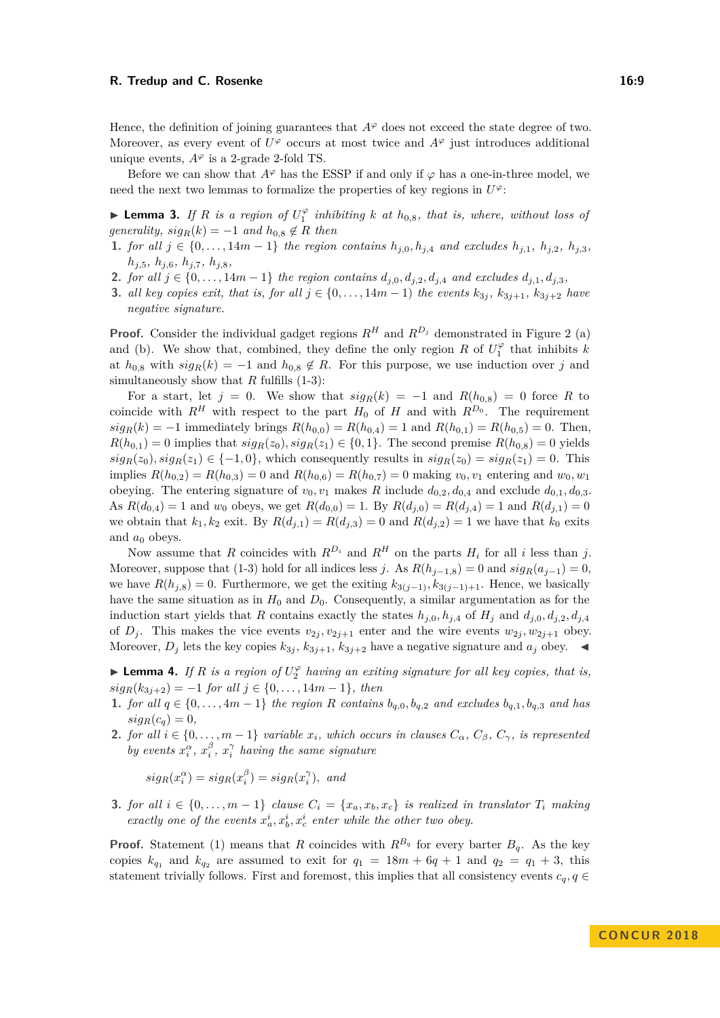Hence, the definition of joining guarantees that  $A^{\varphi}$  does not exceed the state degree of two. Moreover, as every event of  $U^{\varphi}$  occurs at most twice and  $A^{\varphi}$  just introduces additional unique events,  $A^{\varphi}$  is a 2-grade 2-fold TS.

Before we can show that  $A^{\varphi}$  has the ESSP if and only if  $\varphi$  has a one-in-three model, we need the next two lemmas to formalize the properties of key regions in  $U^{\varphi}$ :

<span id="page-8-5"></span>**Lemma 3.** *If R is a region of*  $U_1^{\varphi}$  *inhibiting k at*  $h_{0,8}$ *, that is, where, without loss of generality,*  $sig_R(k) = -1$  *and*  $h_{0,8} \notin R$  *then* 

- <span id="page-8-0"></span>1. for all  $j \in \{0, ..., 14m-1\}$  the region contains  $h_{i,0}, h_{i,4}$  and excludes  $h_{i,1}, h_{i,2}, h_{i,3}$ *hj,*5*, hj,*6*, hj,*7*, hj,*8*,*
- **2.** *for all j* ∈ {0,..., 14*m* − 1} *the region contains*  $d_{i,0}, d_{i,2}, d_{i,4}$  *and excludes*  $d_{i,1}, d_{i,3}$ *,*
- <span id="page-8-1"></span>**3.** *all key copies exit, that is, for all*  $j$  ∈ {0, . . . , 14*m* − 1) *the events*  $k_{3j}$ ,  $k_{3j+1}$ ,  $k_{3j+2}$  *have negative signature.*

**Proof.** Consider the individual gadget regions  $R^H$  and  $R^{D_j}$  demonstrated in Figure [2](#page-7-0) (a) and (b). We show that, combined, they define the only region *R* of  $U_1^{\varphi}$  that inhibits *k* at  $h_{0,8}$  with  $sig_R(k) = -1$  and  $h_{0,8} \notin R$ . For this purpose, we use induction over *j* and simultaneously show that *R* fulfills [\(1](#page-8-0)[-3\)](#page-8-1):

For a start, let  $j = 0$ . We show that  $sig_R(k) = -1$  and  $R(h_{0,8}) = 0$  force R to coincide with  $R^H$  with respect to the part  $H_0$  of  $H$  and with  $R^{D_0}$ . The requirement  $sig_R(k) = -1$  immediately brings  $R(h_{0,0}) = R(h_{0,4}) = 1$  and  $R(h_{0,1}) = R(h_{0,5}) = 0$ . Then,  $R(h_{0,1}) = 0$  implies that  $sig_R(z_0), sig_R(z_1) \in \{0,1\}$ . The second premise  $R(h_{0,8}) = 0$  yields  $sig_R(z_0), sig_R(z_1) \in \{-1,0\}$ , which consequently results in  $sig_R(z_0) = sig_R(z_1) = 0$ . This  $\text{implies } R(h_{0,2}) = R(h_{0,3}) = 0 \text{ and } R(h_{0,6}) = R(h_{0,7}) = 0 \text{ making } v_0, v_1 \text{ entering and } w_0, w_1$ obeying. The entering signature of  $v_0$ ,  $v_1$  makes *R* include  $d_{0,2}$ ,  $d_{0,4}$  and exclude  $d_{0,1}$ ,  $d_{0,3}$ . As  $R(d_{0,4}) = 1$  and  $w_0$  obeys, we get  $R(d_{0,0}) = 1$ . By  $R(d_{j,0}) = R(d_{j,4}) = 1$  and  $R(d_{j,1}) = 0$ we obtain that  $k_1, k_2$  exit. By  $R(d_{j,1}) = R(d_{j,3}) = 0$  and  $R(d_{j,2}) = 1$  we have that  $k_0$  exits and  $a_0$  obeys.

Now assume that *R* coincides with  $R^{D_i}$  and  $R^H$  on the parts  $H_i$  for all *i* less than *j*. Moreover, suppose that [\(1-](#page-8-0)[3\)](#page-8-1) hold for all indices less *j*. As  $R(h_{i-1,8}) = 0$  and  $sig_R(a_{i-1}) = 0$ , we have  $R(h_{j,8}) = 0$ . Furthermore, we get the exiting  $k_{3(j-1)}, k_{3(j-1)+1}$ . Hence, we basically have the same situation as in  $H_0$  and  $D_0$ . Consequently, a similar argumentation as for the induction start yields that *R* contains exactly the states  $h_{i,0}, h_{i,4}$  of  $H_i$  and  $d_{i,0}, d_{i,2}, d_{i,4}$ of  $D_j$ . This makes the vice events  $v_{2j}$ ,  $v_{2j+1}$  enter and the wire events  $w_{2j}$ ,  $w_{2j+1}$  obey. Moreover,  $D_j$  lets the key copies  $k_{3j}$ ,  $k_{3j+1}$ ,  $k_{3j+2}$  have a negative signature and  $a_j$  obey.

<span id="page-8-6"></span>**Lemma 4.** If  $R$  is a region of  $U_2^{\varphi}$  having an exiting signature for all key copies, that is,  $sig_R(k_{3j+2}) = -1$  *for all*  $j \in \{0, \ldots, 14m-1\}$ *, then* 

- <span id="page-8-2"></span>1. for all  $q \in \{0, \ldots, 4m-1\}$  the region R contains  $b_{q,0}, b_{q,2}$  and excludes  $b_{q,1}, b_{q,3}$  and has  $sig_R(c_q) = 0,$
- <span id="page-8-3"></span>**2.** *for all*  $i \in \{0, \ldots, m-1\}$  *variable*  $x_i$ *, which occurs in clauses*  $C_\alpha$ *,*  $C_\beta$ *,*  $C_\gamma$ *, is represented by events*  $x_i^{\alpha}, x_i^{\beta}, x_i^{\gamma}$  *having the same signature*

$$
sig_R(x_i^{\alpha}) = sig_R(x_i^{\beta}) = sig_R(x_i^{\gamma}), \text{ and}
$$

<span id="page-8-4"></span>**3.** *for all*  $i \in \{0, \ldots, m-1\}$  *clause*  $C_i = \{x_a, x_b, x_c\}$  *is realized in translator*  $T_i$  *making exactly one of the events*  $x_a^i, x_b^i, x_c^i$  *enter while the other two obey.* 

**Proof.** Statement [\(1\)](#page-8-2) means that *R* coincides with  $R^{B_q}$  for every barter  $B_q$ . As the key copies  $k_{q_1}$  and  $k_{q_2}$  are assumed to exit for  $q_1 = 18m + 6q + 1$  and  $q_2 = q_1 + 3$ , this statement trivially follows. First and foremost, this implies that all consistency events  $c_q, q \in$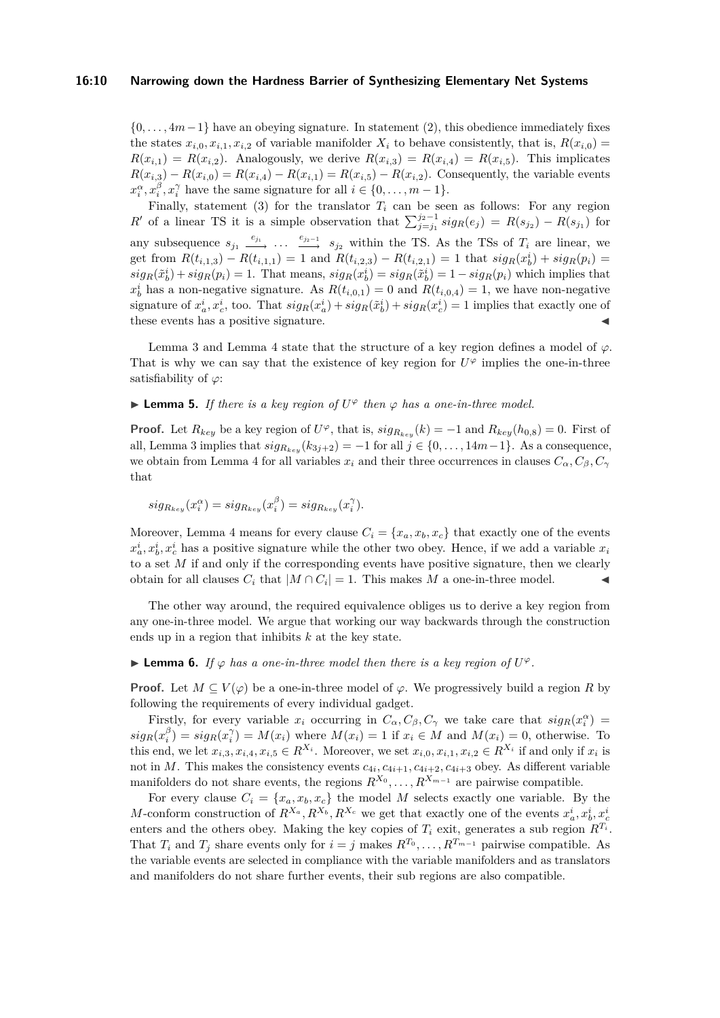#### **16:10 Narrowing down the Hardness Barrier of Synthesizing Elementary Net Systems**

 $\{0, \ldots, 4m-1\}$  have an obeying signature. In statement [\(2\)](#page-8-3), this obedience immediately fixes the states  $x_{i,0}, x_{i,1}, x_{i,2}$  of variable manifolder  $X_i$  to behave consistently, that is,  $R(x_{i,0}) =$  $R(x_{i,1}) = R(x_{i,2})$ . Analogously, we derive  $R(x_{i,3}) = R(x_{i,4}) = R(x_{i,5})$ . This implicates  $R(x_{i,3}) - R(x_{i,0}) = R(x_{i,4}) - R(x_{i,1}) = R(x_{i,5}) - R(x_{i,2})$ . Consequently, the variable events  $x_i^{\alpha}, x_i^{\beta}, x_i^{\gamma}$  have the same signature for all  $i \in \{0, ..., m-1\}$ .

Finally, statement [\(3\)](#page-8-4) for the translator  $T_i$  can be seen as follows: For any region *R*<sup>0</sup> of a linear TS it is a simple observation that  $\sum_{j=j_1}^{j_2-1} sign(e_j) = R(s_{j_2}) - R(s_{j_1})$  for any subsequence  $s_{j_1} \xrightarrow{e_{j_1}} \cdots \xrightarrow{e_{j_{2}-1}} s_{j_2}$  within the TS. As the TSs of  $T_i$  are linear, we get from  $R(t_{i,1,3}) - R(t_{i,1,1}) = 1$  and  $R(t_{i,2,3}) - R(t_{i,2,1}) = 1$  that  $sig_R(x_b^i) + sig_R(p_i) =$  $sig_R(\tilde{x}_b^i) + sig_R(p_i) = 1$ . That means,  $sig_R(x_b^i) = sig_R(\tilde{x}_b^i) = 1 - sig_R(p_i)$  which implies that  $x_b^i$  has a non-negative signature. As  $R(t_{i,0,1}) = 0$  and  $R(t_{i,0,4}) = 1$ , we have non-negative signature of  $x_a^i, x_c^i$ , too. That  $sig_R(x_a^i) + sig_R(\tilde{x}_b^i) + sig_R(x_c^i) = 1$  implies that exactly one of these events has a positive signature.

Lemma [3](#page-8-5) and Lemma [4](#page-8-6) state that the structure of a key region defines a model of  $\varphi$ . That is why we can say that the existence of key region for  $U^{\varphi}$  implies the one-in-three satisfiability of *ϕ*:

<span id="page-9-0"></span> $\blacktriangleright$  **Lemma 5.** *If there is a key region of*  $U^{\varphi}$  *then*  $\varphi$  *has a one-in-three model.* 

**Proof.** Let  $R_{key}$  be a key region of  $U^{\varphi}$ , that is,  $sig_{R_{key}}(k) = -1$  and  $R_{key}(h_{0,8}) = 0$ . First of all, Lemma [3](#page-8-5) implies that  $sig_{R_{key}}(k_{3j+2}) = -1$  for all  $j \in \{0, \ldots, 14m-1\}$ . As a consequence, we obtain from Lemma [4](#page-8-6) for all variables  $x_i$  and their three occurrences in clauses  $C_\alpha, C_\beta, C_\gamma$ that

$$
sig_{R_{key}}(x_i^{\alpha}) = sig_{R_{key}}(x_i^{\beta}) = sig_{R_{key}}(x_i^{\gamma}).
$$

Moreover, Lemma [4](#page-8-6) means for every clause  $C_i = \{x_a, x_b, x_c\}$  that exactly one of the events  $x_a^i, x_b^i, x_c^i$  has a positive signature while the other two obey. Hence, if we add a variable  $x_i$ to a set *M* if and only if the corresponding events have positive signature, then we clearly obtain for all clauses  $C_i$  that  $|M \cap C_i| = 1$ . This makes  $M$  a one-in-three model.

The other way around, the required equivalence obliges us to derive a key region from any one-in-three model. We argue that working our way backwards through the construction ends up in a region that inhibits *k* at the key state.

## <span id="page-9-1"></span> $\blacktriangleright$  **Lemma 6.** *If*  $\varphi$  *has a one-in-three model then there is a key region of*  $U^{\varphi}$ *.*

**Proof.** Let  $M \subseteq V(\varphi)$  be a one-in-three model of  $\varphi$ . We progressively build a region R by following the requirements of every individual gadget.

Firstly, for every variable  $x_i$  occurring in  $C_\alpha$ ,  $C_\beta$ ,  $C_\gamma$  we take care that  $sig_R(x_i^\alpha)$  $sig_R(x_i^{\beta}) = sig_R(x_i^{\gamma}) = M(x_i)$  where  $M(x_i) = 1$  if  $x_i \in M$  and  $M(x_i) = 0$ , otherwise. To this end, we let  $x_{i,3}, x_{i,4}, x_{i,5} \in R^{X_i}$ . Moreover, we set  $x_{i,0}, x_{i,1}, x_{i,2} \in R^{X_i}$  if and only if  $x_i$  is not in *M*. This makes the consistency events  $c_{4i}, c_{4i+1}, c_{4i+2}, c_{4i+3}$  obey. As different variable manifolders do not share events, the regions  $R^{X_0}, \ldots, R^{X_{m-1}}$  are pairwise compatible.

For every clause  $C_i = \{x_a, x_b, x_c\}$  the model M selects exactly one variable. By the M-conform construction of  $R^{X_a}, R^{X_b}, R^{X_c}$  we get that exactly one of the events  $x_a^i, x_b^i, x_c^i$ enters and the others obey. Making the key copies of  $T_i$  exit, generates a sub region  $R^{T_i}$ . That  $T_i$  and  $T_j$  share events only for  $i = j$  makes  $R^{T_0}, \ldots, R^{T_{m-1}}$  pairwise compatible. As the variable events are selected in compliance with the variable manifolders and as translators and manifolders do not share further events, their sub regions are also compatible.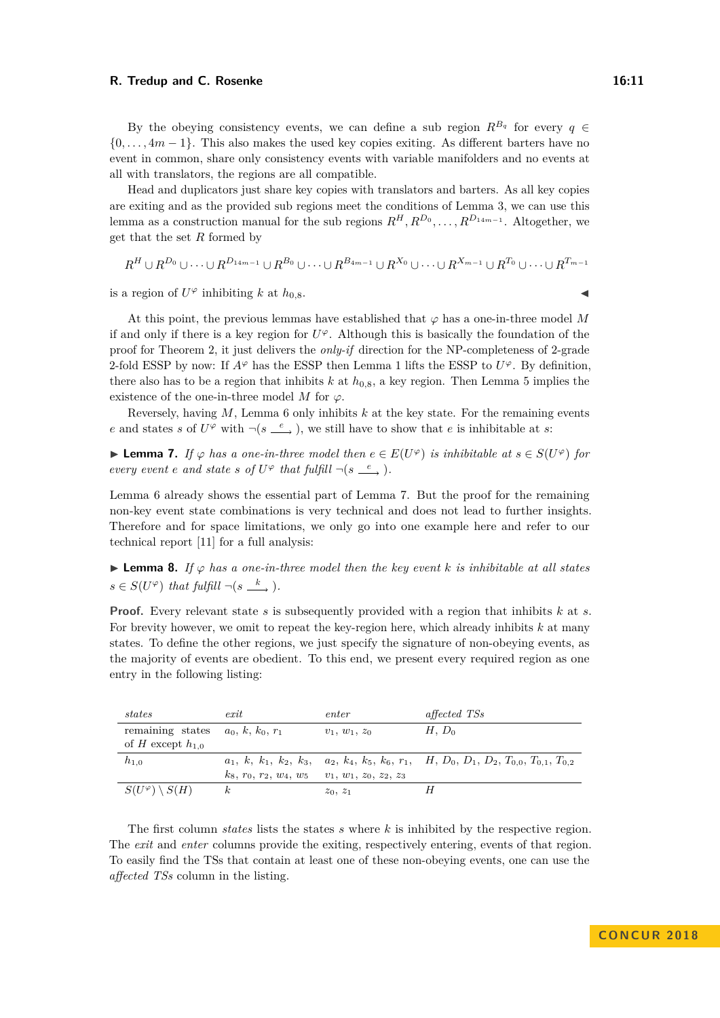By the obeying consistency events, we can define a sub region  $R^{B_q}$  for every  $q \in$  $\{0, \ldots, 4m-1\}$ . This also makes the used key copies exiting. As different barters have no event in common, share only consistency events with variable manifolders and no events at all with translators, the regions are all compatible.

Head and duplicators just share key copies with translators and barters. As all key copies are exiting and as the provided sub regions meet the conditions of Lemma [3,](#page-8-5) we can use this lemma as a construction manual for the sub regions  $R^H, R^{D_0}, \ldots, R^{D_{14m-1}}$ . Altogether, we get that the set *R* formed by

$$
R^H \cup R^{D_0} \cup \cdots \cup R^{D_{14m-1}} \cup R^{B_0} \cup \cdots \cup R^{B_{4m-1}} \cup R^{X_0} \cup \cdots \cup R^{X_{m-1}} \cup R^{T_0} \cup \cdots \cup R^{T_{m-1}}
$$

is a region of  $U^{\varphi}$  inhibiting *k* at  $h_{0,8}$ .

At this point, the previous lemmas have established that  $\varphi$  has a one-in-three model M if and only if there is a key region for  $U^{\varphi}$ . Although this is basically the foundation of the proof for Theorem [2,](#page-4-2) it just delivers the *only-if* direction for the NP-completeness of 2-grade 2-fold ESSP by now: If  $A^{\varphi}$  has the ESSP then Lemma [1](#page-4-1) lifts the ESSP to  $U^{\varphi}$ . By definition, there also has to be a region that inhibits  $k$  at  $h_{0,8}$ , a key region. Then Lemma [5](#page-9-0) implies the existence of the one-in-three model M for  $\varphi$ .

Reversely, having *M*, Lemma [6](#page-9-1) only inhibits *k* at the key state. For the remaining events *e* and states *s* of  $U^{\varphi}$  with  $\neg (s \stackrel{e}{\longrightarrow})$ , we still have to show that *e* is inhibitable at *s*:

<span id="page-10-0"></span>**► Lemma 7.** If  $\varphi$  has a one-in-three model then  $e \in E(U^{\varphi})$  is inhibitable at  $s \in S(U^{\varphi})$  for *every event e* and state *s* of  $U^{\varphi}$  that fulfill  $\neg(s \stackrel{e}{\longrightarrow})$ .

Lemma [6](#page-9-1) already shows the essential part of Lemma [7.](#page-10-0) But the proof for the remaining non-key event state combinations is very technical and does not lead to further insights. Therefore and for space limitations, we only go into one example here and refer to our technical report [\[11\]](#page-14-0) for a full analysis:

<span id="page-10-1"></span>**► Lemma 8.** *If*  $\varphi$  *has a one-in-three model then the key event k is inhibitable at all states*  $s \in S(U^{\varphi})$  *that fulfill*  $\neg(s \stackrel{k}{\longrightarrow})$ *.* 

**Proof.** Every relevant state *s* is subsequently provided with a region that inhibits *k* at *s*. For brevity however, we omit to repeat the key-region here, which already inhibits *k* at many states. To define the other regions, we just specify the signature of non-obeying events, as the majority of events are obedient. To this end, we present every required region as one entry in the following listing:

| states                         | ext                                                     | enter           | affected TSs                                                                                  |
|--------------------------------|---------------------------------------------------------|-----------------|-----------------------------------------------------------------------------------------------|
| remaining states               | $a_0, k, k_0, r_1$                                      | $v_1, w_1, z_0$ | $H, D_0$                                                                                      |
| of H except $h_{1,0}$          |                                                         |                 |                                                                                               |
| $h_{1,0}$                      |                                                         |                 | $a_1, k, k_1, k_2, k_3, a_2, k_4, k_5, k_6, r_1, H, D_0, D_1, D_2, T_{0,0}, T_{0,1}, T_{0,2}$ |
|                                | $k_8, r_0, r_2, w_4, w_5 \quad v_1, w_1, z_0, z_2, z_3$ |                 |                                                                                               |
| $S(U^{\varphi})\setminus S(H)$ | κ                                                       | $z_0, z_1$      |                                                                                               |

The first column *states* lists the states *s* where *k* is inhibited by the respective region. The *exit* and *enter* columns provide the exiting, respectively entering, events of that region. To easily find the TSs that contain at least one of these non-obeying events, one can use the *affected TSs* column in the listing.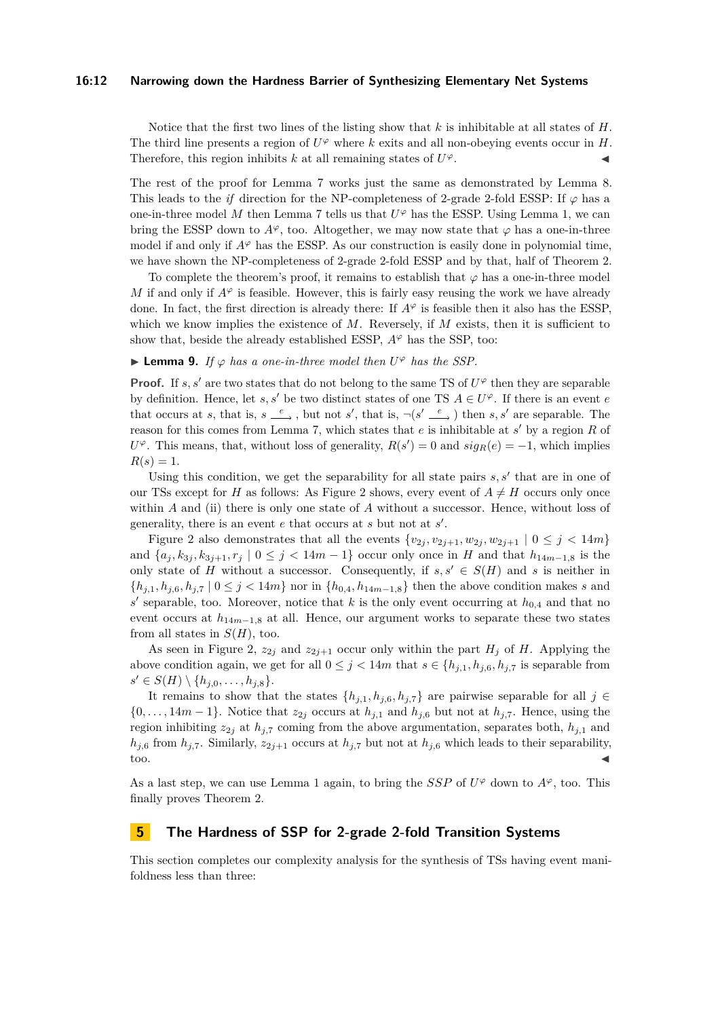#### **16:12 Narrowing down the Hardness Barrier of Synthesizing Elementary Net Systems**

Notice that the first two lines of the listing show that *k* is inhibitable at all states of *H*. The third line presents a region of  $U^{\varphi}$  where k exits and all non-obeying events occur in *H*. Therefore, this region inhibits *k* at all remaining states of  $U^{\varphi}$ .  $\varphi$ .

The rest of the proof for Lemma [7](#page-10-0) works just the same as demonstrated by Lemma [8.](#page-10-1) This leads to the *if* direction for the NP-completeness of 2-grade 2-fold ESSP: If  $\varphi$  has a one-in-three model M then Lemma [7](#page-10-0) tells us that  $U^{\varphi}$  has the ESSP. Using Lemma [1,](#page-4-1) we can bring the ESSP down to  $A^{\varphi}$ , too. Altogether, we may now state that  $\varphi$  has a one-in-three model if and only if  $A^{\varphi}$  has the ESSP. As our construction is easily done in polynomial time, we have shown the NP-completeness of 2-grade 2-fold ESSP and by that, half of Theorem [2.](#page-4-2)

To complete the theorem's proof, it remains to establish that  $\varphi$  has a one-in-three model *M* if and only if  $A^\varphi$  is feasible. However, this is fairly easy reusing the work we have already done. In fact, the first direction is already there: If  $A^{\varphi}$  is feasible then it also has the ESSP, which we know implies the existence of M. Reversely, if M exists, then it is sufficient to show that, beside the already established ESSP,  $A^{\varphi}$  has the SSP, too:

## **► Lemma 9.** *If*  $\varphi$  *has a one-in-three model then*  $U^{\varphi}$  *has the SSP.*

**Proof.** If  $s, s'$  are two states that do not belong to the same TS of  $U^{\varphi}$  then they are separable by definition. Hence, let *s*, *s'* be two distinct states of one TS  $A \in U^{\varphi}$ . If there is an event *e* that occurs at *s*, that is,  $s \stackrel{e}{\longrightarrow}$ , but not *s'*, that is,  $\neg(s' \stackrel{e}{\longrightarrow})$  then *s*, *s'* are separable. The reason for this comes from Lemma [7,](#page-10-0) which states that  $e$  is inhibitable at  $s'$  by a region  $R$  of  $U^{\varphi}$ . This means, that, without loss of generality,  $R(s') = 0$  and  $sig_R(e) = -1$ , which implies  $R(s) = 1.$ 

Using this condition, we get the separability for all state pairs  $s, s'$  that are in one of our TSs except for *H* as follows: As Figure [2](#page-7-0) shows, every event of  $A \neq H$  occurs only once within *A* and (ii) there is only one state of *A* without a successor. Hence, without loss of generality, there is an event *e* that occurs at *s* but not at *s* 0 .

Figure [2](#page-7-0) also demonstrates that all the events  $\{v_{2j}, v_{2j+1}, w_{2j}, w_{2j+1} \mid 0 \leq j < 14m\}$ and  $\{a_j, k_{3j}, k_{3j+1}, r_j \mid 0 \le j < 14m - 1\}$  occur only once in *H* and that  $h_{14m-1,8}$  is the only state of *H* without a successor. Consequently, if  $s, s' \in S(H)$  and *s* is neither in  ${h_{j,1}, h_{j,6}, h_{j,7} \mid 0 \leq j < 14m}$  nor in  ${h_{0,4}, h_{14m-1,8}}$  then the above condition makes *s* and s' separable, too. Moreover, notice that k is the only event occurring at  $h_{0,4}$  and that no event occurs at  $h_{14m-1,8}$  at all. Hence, our argument works to separate these two states from all states in  $S(H)$ , too.

As seen in Figure [2,](#page-7-0)  $z_{2i}$  and  $z_{2i+1}$  occur only within the part  $H_i$  of  $H$ . Applying the above condition again, we get for all  $0 \leq j < 14m$  that  $s \in \{h_{j,1}, h_{j,6}, h_{j,7}\}$  is separable from  $s' \in S(H) \setminus \{h_{j,0}, \ldots, h_{j,8}\}.$ 

It remains to show that the states {*hj,*1*, hj,*6*, hj,*7} are pairwise separable for all *j* ∈  $\{0, \ldots, 14m-1\}$ . Notice that  $z_{2j}$  occurs at  $h_{j,1}$  and  $h_{j,6}$  but not at  $h_{j,7}$ . Hence, using the region inhibiting  $z_{2i}$  at  $h_{i,7}$  coming from the above argumentation, separates both,  $h_{i,1}$  and  $h_{j,6}$  from  $h_{j,7}$ . Similarly,  $z_{2j+1}$  occurs at  $h_{j,7}$  but not at  $h_{j,6}$  which leads to their separability,  $\bullet$  too.

As a last step, we can use Lemma [1](#page-4-1) again, to bring the *SSP* of  $U^{\varphi}$  down to  $A^{\varphi}$ , too. This finally proves Theorem [2.](#page-4-2)

### <span id="page-11-0"></span>**5 The Hardness of SSP for 2-grade 2-fold Transition Systems**

This section completes our complexity analysis for the synthesis of TSs having event manifoldness less than three: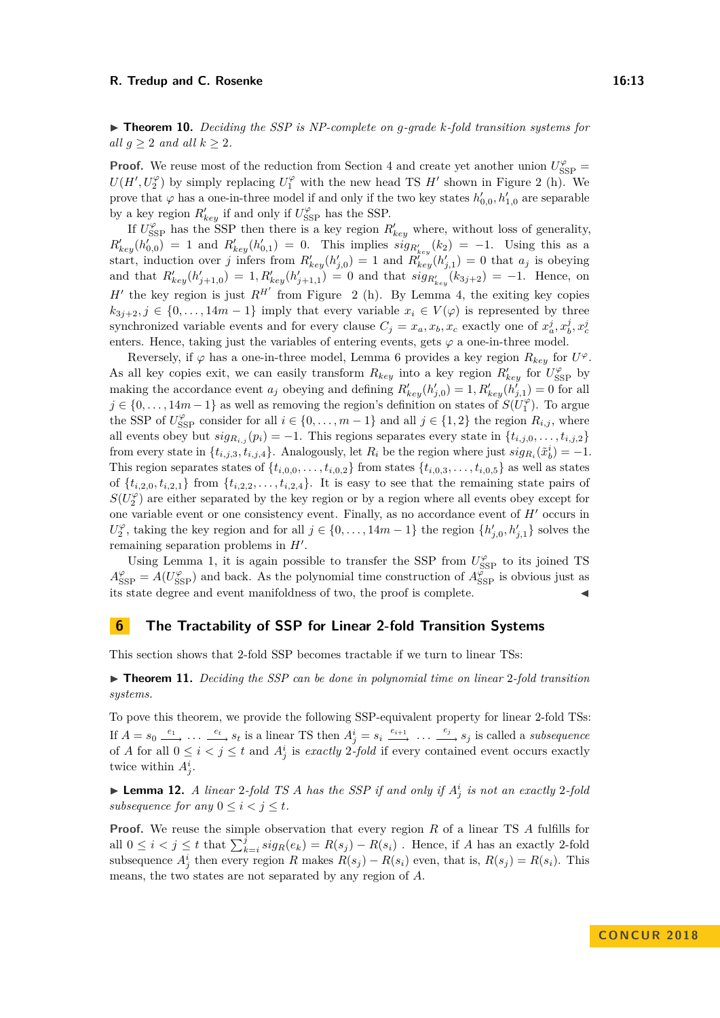I **Theorem 10.** *Deciding the SSP is NP-complete on g-grade k-fold transition systems for all*  $q \geq 2$  *and all*  $k \geq 2$ *.* 

**Proof.** We reuse most of the reduction from Section [4](#page-4-0) and create yet another union  $U_{\text{SSP}}^{\varphi}$  =  $U(H', U_2^{\varphi})$  by simply replacing  $U_1^{\varphi}$  with the new head TS *H*<sup> $\prime$ </sup> shown in Figure [2](#page-7-0) (h). We prove that  $\varphi$  has a one-in-three model if and only if the two key states  $h'_{0,0}, h'_{1,0}$  are separable by a key region  $R_{key}'$  if and only if  $U_{\text{SSP}}^{\varphi}$  has the SSP.

If  $U_{\text{SSP}}^{\varphi}$  has the SSP then there is a key region  $R_{key}'$  where, without loss of generality,  $R'_{key}(h'_{0,0}) = 1$  and  $R'_{key}(h'_{0,1}) = 0$ . This implies  $sig_{R'_{key}}(k_2) = -1$ . Using this as a start, induction over *j* infers from  $R'_{key}(h'_{j,0}) = 1$  and  $R''_{key}(h'_{j,1}) = 0$  that  $a_j$  is obeying and that  $R'_{key}(h'_{j+1,0}) = 1, R'_{key}(h'_{j+1,1}) = 0$  and that  $sig_{R'_{key}}(k_{3j+2}) = -1$ . Hence, on *H*<sup> $\prime$ </sup> the key region is just  $R^{H'}$  from Figure [2](#page-7-0) (h). By Lemma [4,](#page-8-6) the exiting key copies  $k_{3j+2}, j \in \{0, \ldots, 14m-1\}$  imply that every variable  $x_i \in V(\varphi)$  is represented by three synchronized variable events and for every clause  $C_j = x_a, x_b, x_c$  exactly one of  $x_a^j, x_b^j, x_c^j$ enters. Hence, taking just the variables of entering events, gets  $\varphi$  a one-in-three model.

Reversely, if  $\varphi$  has a one-in-three model, Lemma [6](#page-9-1) provides a key region  $R_{key}$  for  $U^{\varphi}$ . As all key copies exit, we can easily transform  $R_{key}$  into a key region  $R'_{key}$  for  $U_{\rm SSP}^{\varphi}$  by making the accordance event  $a_j$  obeying and defining  $R'_{key}(h'_{j,0}) = 1, R'_{key}(h'_{j,1}) = 0$  for all  $j \in \{0, \ldots, 14m - 1\}$  as well as removing the region's definition on states of  $S(U_1^{\varphi})$ . To argue the SSP of  $U_{\text{SSP}}^{\varphi}$  consider for all  $i \in \{0, \ldots, m-1\}$  and all  $j \in \{1, 2\}$  the region  $R_{i,j}$ , where all events obey but  $sig_{R_i,j}(p_i) = -1$ . This regions separates every state in  $\{t_{i,j,0}, \ldots, t_{i,j,2}\}$ from every state in  $\{t_{i,j,3}, t_{i,j,4}\}$ . Analogously, let  $R_i$  be the region where just  $sig_{R_i}(\tilde{x}_b^i) = -1$ . This region separates states of  $\{t_{i,0,0}, \ldots, t_{i,0,2}\}$  from states  $\{t_{i,0,3}, \ldots, t_{i,0,5}\}$  as well as states of  $\{t_{i,2,0}, t_{i,2,1}\}$  from  $\{t_{i,2,2}, \ldots, t_{i,2,4}\}$ . It is easy to see that the remaining state pairs of  $S(U_2^{\varphi})$  are either separated by the key region or by a region where all events obey except for one variable event or one consistency event. Finally, as no accordance event of  $H'$  occurs in  $U_2^{\varphi}$ , taking the key region and for all  $j \in \{0, \ldots, 14m - 1\}$  the region  $\{h'_{j,0}, h'_{j,1}\}$  solves the remaining separation problems in  $H'$ .

Using Lemma [1,](#page-4-1) it is again possible to transfer the SSP from  $U_{\text{SSP}}^{\varphi}$  to its joined TS  $A_{\text{SSP}}^{\varphi} = A(U_{\text{SSP}}^{\varphi})$  and back. As the polynomial time construction of  $A_{\text{SSP}}^{\varphi}$  is obvious just as its state degree and event manifoldness of two, the proof is complete.

#### **6 The Tractability of SSP for Linear 2-fold Transition Systems**

This section shows that 2-fold SSP becomes tractable if we turn to linear TSs:

<span id="page-12-0"></span>▶ **Theorem 11.** *Deciding the SSP can be done in polynomial time on linear* 2-fold transition *systems.*

To pove this theorem, we provide the following SSP-equivalent property for linear 2-fold TSs: If  $A = s_0 \xrightarrow{e_1} \cdots \xrightarrow{e_t} s_t$  is a linear TS then  $A_j^i = s_i \xrightarrow{e_{i+1}} \cdots \xrightarrow{e_j} s_j$  is called a *subsequence* of *A* for all  $0 \leq i < j \leq t$  and  $A_j^i$  is *exactly* 2*-fold* if every contained event occurs exactly twice within  $A_j^i$ .

**Example 12.** *A linear* 2*-fold TS A has the SSP if and only if*  $A_j^i$  *is not an exactly* 2*-fold subsequence for any*  $0 \leq i \leq j \leq t$ *.* 

**Proof.** We reuse the simple observation that every region *R* of a linear TS *A* fulfills for all  $0 \leq i < j \leq t$  that  $\sum_{k=i}^{j} sign(e_k) = R(s_j) - R(s_i)$ . Hence, if *A* has an exactly 2-fold subsequence  $A_j^i$  then every region *R* makes  $R(s_j) - R(s_i)$  even, that is,  $R(s_j) = R(s_i)$ . This means, the two states are not separated by any region of *A*.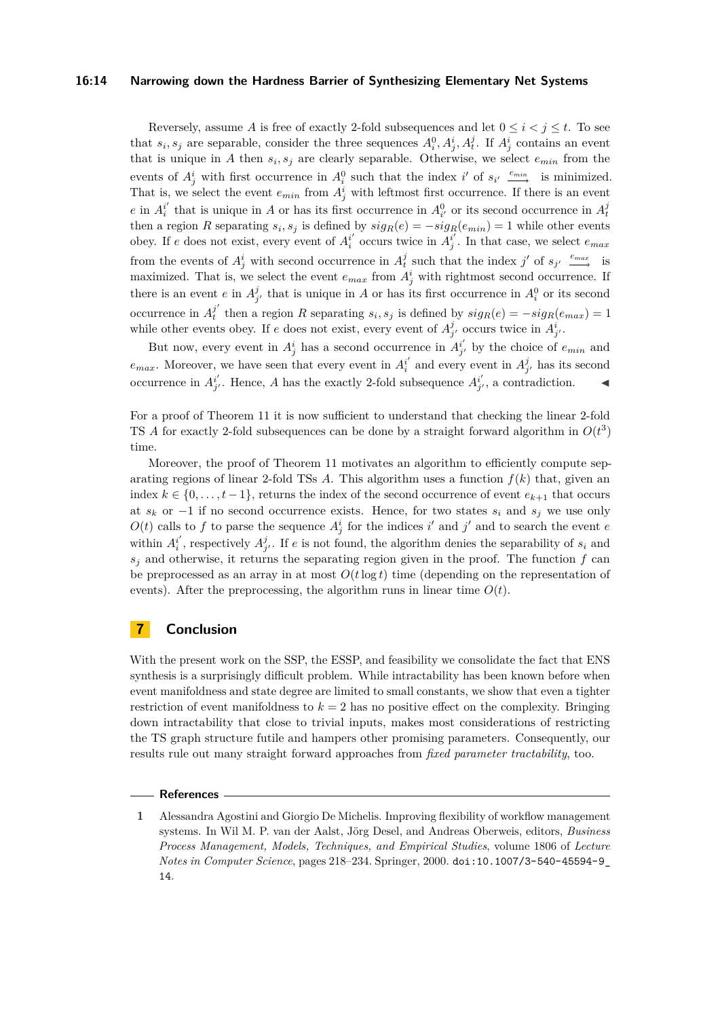#### **16:14 Narrowing down the Hardness Barrier of Synthesizing Elementary Net Systems**

Reversely, assume A is free of exactly 2-fold subsequences and let  $0 \leq i \leq j \leq t$ . To see that  $s_i, s_j$  are separable, consider the three sequences  $A_i^0, A_j^i, A_t^j$ . If  $A_j^i$  contains an event that is unique in *A* then  $s_i$ ,  $s_j$  are clearly separable. Otherwise, we select  $e_{min}$  from the events of  $A_j^i$  with first occurrence in  $A_i^0$  such that the index *i*' of  $s_{i'} \xrightarrow{e_{min}}$  is minimized. That is, we select the event  $e_{min}$  from  $A_j^i$  with leftmost first occurrence. If there is an event *e* in  $A_i^{i'}$  that is unique in *A* or has its first occurrence in  $A_{i'}^0$  or its second occurrence in  $A_t^j$ then a region *R* separating  $s_i$ ,  $s_j$  is defined by  $sig_R(e) = -sig_R(e_{min}) = 1$  while other events obey. If *e* does not exist, every event of  $A_i^{i'}$  occurs twice in  $A_j^{i'}$ . In that case, we select  $e_{max}$ from the events of  $A_j^i$  with second occurrence in  $A_t^j$  such that the index *j*' of  $s_{j'} \xrightarrow{e_{max}}$  is maximized. That is, we select the event  $e_{max}$  from  $A_j^i$  with rightmost second occurrence. If there is an event *e* in  $A_{j'}^j$  that is unique in *A* or has its first occurrence in  $A_i^0$  or its second occurrence in  $A_t^{j'}$  $\frac{d}{dt}$  then a region *R* separating  $s_i$ ,  $s_j$  is defined by  $sig_R(e) = -sig_R(e_{max}) = 1$ while other events obey. If *e* does not exist, every event of  $A^j_{j'}$  occurs twice in  $A^i_{j'}$ .

But now, every event in  $A^i_j$  has a second occurrence in  $A^{i'}_{j'}$  by the choice of  $e_{min}$  and  $e_{max}$ . Moreover, we have seen that every event in  $A_i^{i'}$  and every event in  $A_{j'}^{j}$  has its second occurrence in  $A^{i'}_{j'}$ . Hence, *A* has the exactly 2-fold subsequence  $A^{i'}_{j'}$ , a contradiction.

For a proof of Theorem [11](#page-12-0) it is now sufficient to understand that checking the linear 2-fold TS A for exactly 2-fold subsequences can be done by a straight forward algorithm in  $O(t^3)$ time.

Moreover, the proof of Theorem [11](#page-12-0) motivates an algorithm to efficiently compute separating regions of linear 2-fold TSs  $\tilde{A}$ . This algorithm uses a function  $f(k)$  that, given an index  $k \in \{0, \ldots, t-1\}$ , returns the index of the second occurrence of event  $e_{k+1}$  that occurs at *s<sup>k</sup>* or −1 if no second occurrence exists. Hence, for two states *s<sup>i</sup>* and *s<sup>j</sup>* we use only  $O(t)$  calls to *f* to parse the sequence  $A_j^i$  for the indices *i*' and *j*' and to search the event *e* within  $A_i^{i'}$ , respectively  $A_{j'}^{j}$ . If *e* is not found, the algorithm denies the separability of  $s_i$  and  $s_i$  and otherwise, it returns the separating region given in the proof. The function  $f$  can be preprocessed as an array in at most  $O(t \log t)$  time (depending on the representation of events). After the preprocessing, the algorithm runs in linear time  $O(t)$ .

# **7 Conclusion**

With the present work on the SSP, the ESSP, and feasibility we consolidate the fact that ENS synthesis is a surprisingly difficult problem. While intractability has been known before when event manifoldness and state degree are limited to small constants, we show that even a tighter restriction of event manifoldness to  $k = 2$  has no positive effect on the complexity. Bringing down intractability that close to trivial inputs, makes most considerations of restricting the TS graph structure futile and hampers other promising parameters. Consequently, our results rule out many straight forward approaches from *fixed parameter tractability*, too.

#### **References**

<span id="page-13-0"></span>**<sup>1</sup>** Alessandra Agostini and Giorgio De Michelis. Improving flexibility of workflow management systems. In Wil M. P. van der Aalst, Jörg Desel, and Andreas Oberweis, editors, *Business Process Management, Models, Techniques, and Empirical Studies*, volume 1806 of *Lecture Notes in Computer Science*, pages 218–234. Springer, 2000. [doi:10.1007/3-540-45594-9\\_](http://dx.doi.org/10.1007/3-540-45594-9_14) [14](http://dx.doi.org/10.1007/3-540-45594-9_14).